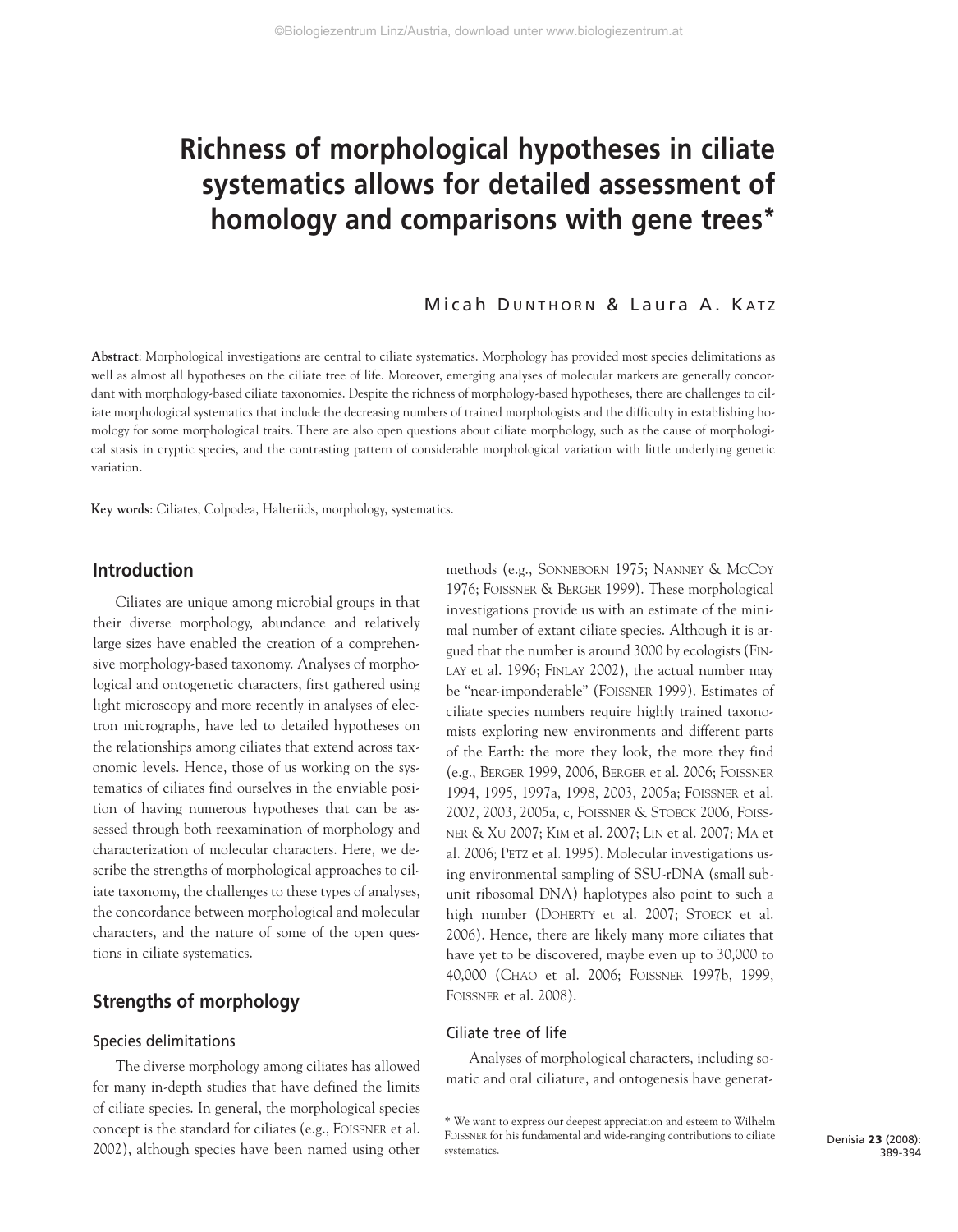# **Richness of morphological hypotheses in ciliate systematics allows for detailed assessment of homology and comparisons with gene trees\***

# Micah DUNTHORN & Laura A. KATZ

**Abstract**: Morphological investigations are central to ciliate systematics. Morphology has provided most species delimitations as well as almost all hypotheses on the ciliate tree of life. Moreover, emerging analyses of molecular markers are generally concordant with morphology-based ciliate taxonomies. Despite the richness of morphology-based hypotheses, there are challenges to ciliate morphological systematics that include the decreasing numbers of trained morphologists and the difficulty in establishing homology for some morphological traits. There are also open questions about ciliate morphology, such as the cause of morphological stasis in cryptic species, and the contrasting pattern of considerable morphological variation with little underlying genetic variation.

**Key words**: Ciliates, Colpodea, Halteriids, morphology, systematics.

# **Introduction**

Ciliates are unique among microbial groups in that their diverse morphology, abundance and relatively large sizes have enabled the creation of a comprehensive morphology-based taxonomy. Analyses of morphological and ontogenetic characters, first gathered using light microscopy and more recently in analyses of electron micrographs, have led to detailed hypotheses on the relationships among ciliates that extend across taxonomic levels. Hence, those of us working on the systematics of ciliates find ourselves in the enviable position of having numerous hypotheses that can be assessed through both reexamination of morphology and characterization of molecular characters. Here, we describe the strengths of morphological approaches to ciliate taxonomy, the challenges to these types of analyses, the concordance between morphological and molecular characters, and the nature of some of the open questions in ciliate systematics.

# **Strengths of morphology**

# Species delimitations

The diverse morphology among ciliates has allowed for many in-depth studies that have defined the limits of ciliate species. In general, the morphological species concept is the standard for ciliates (e.g., FOISSNER et al. 2002), although species have been named using other

methods (e.g., SONNEBORN 1975; NANNEY & MCCOY 1976; FOISSNER & BERGER 1999). These morphological investigations provide us with an estimate of the minimal number of extant ciliate species. Although it is argued that the number is around 3000 by ecologists (FIN-LAY et al. 1996; FINLAY 2002), the actual number may be "near-imponderable" (FOISSNER 1999). Estimates of ciliate species numbers require highly trained taxonomists exploring new environments and different parts of the Earth: the more they look, the more they find (e.g., BERGER 1999, 2006, BERGER et al. 2006; FOISSNER 1994, 1995, 1997a, 1998, 2003, 2005a; FOISSNER et al. 2002, 2003, 2005a, c, FOISSNER & STOECK 2006, FOISS-NER & XU 2007; KIM et al. 2007; LIN et al. 2007; MA et al. 2006; PETZ et al. 1995). Molecular investigations using environmental sampling of SSU-rDNA (small subunit ribosomal DNA) haplotypes also point to such a high number (DOHERTY et al. 2007; STOECK et al. 2006). Hence, there are likely many more ciliates that have yet to be discovered, maybe even up to 30,000 to 40,000 (CHAO et al. 2006; FOISSNER 1997b, 1999, FOISSNER et al. 2008).

# Ciliate tree of life

Analyses of morphological characters, including somatic and oral ciliature, and ontogenesis have generat-

<sup>\*</sup> We want to express our deepest appreciation and esteem to Wilhelm FOISSNER for his fundamental and wide-ranging contributions to ciliate systematics.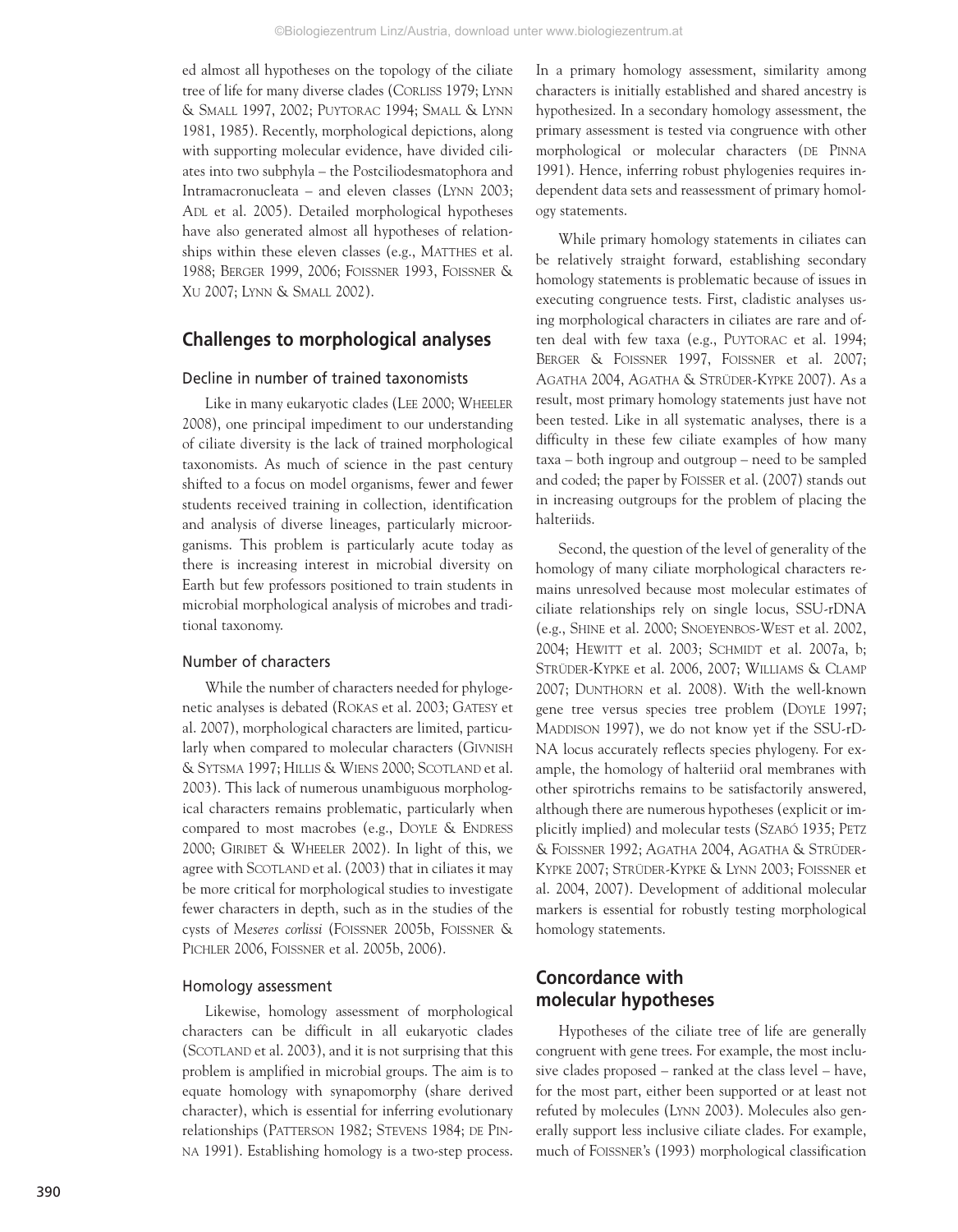ed almost all hypotheses on the topology of the ciliate tree of life for many diverse clades (CORLISS 1979; LYNN & SMALL 1997, 2002; PUYTORAC 1994; SMALL & LYNN 1981, 1985). Recently, morphological depictions, along with supporting molecular evidence, have divided ciliates into two subphyla – the Postciliodesmatophora and Intramacronucleata – and eleven classes (LYNN 2003; ADL et al. 2005). Detailed morphological hypotheses have also generated almost all hypotheses of relationships within these eleven classes (e.g., MATTHES et al. 1988; BERGER 1999, 2006; FOISSNER 1993, FOISSNER & XU 2007; LYNN & SMALL 2002).

# **Challenges to morphological analyses**

#### Decline in number of trained taxonomists

Like in many eukaryotic clades (LEE 2000; WHEELER 2008), one principal impediment to our understanding of ciliate diversity is the lack of trained morphological taxonomists. As much of science in the past century shifted to a focus on model organisms, fewer and fewer students received training in collection, identification and analysis of diverse lineages, particularly microorganisms. This problem is particularly acute today as there is increasing interest in microbial diversity on Earth but few professors positioned to train students in microbial morphological analysis of microbes and traditional taxonomy.

# Number of characters

While the number of characters needed for phylogenetic analyses is debated (ROKAS et al. 2003; GATESY et al. 2007), morphological characters are limited, particularly when compared to molecular characters (GIVNISH & SYTSMA 1997; HILLIS & WIENS 2000; SCOTLAND et al. 2003). This lack of numerous unambiguous morphological characters remains problematic, particularly when compared to most macrobes (e.g., DOYLE & ENDRESS 2000; GIRIBET & WHEELER 2002). In light of this, we agree with SCOTLAND et al. (2003) that in ciliates it may be more critical for morphological studies to investigate fewer characters in depth, such as in the studies of the cysts of *Meseres corlissi* (FOISSNER 2005b, FOISSNER & PICHLER 2006, FOISSNER et al. 2005b, 2006).

#### Homology assessment

Likewise, homology assessment of morphological characters can be difficult in all eukaryotic clades (SCOTLAND et al. 2003), and it is not surprising that this problem is amplified in microbial groups. The aim is to equate homology with synapomorphy (share derived character), which is essential for inferring evolutionary relationships (PATTERSON 1982; STEVENS 1984; DE PIN-NA 1991). Establishing homology is a two-step process.

In a primary homology assessment, similarity among characters is initially established and shared ancestry is hypothesized. In a secondary homology assessment, the primary assessment is tested via congruence with other morphological or molecular characters (DE PINNA 1991). Hence, inferring robust phylogenies requires independent data sets and reassessment of primary homology statements.

While primary homology statements in ciliates can be relatively straight forward, establishing secondary homology statements is problematic because of issues in executing congruence tests. First, cladistic analyses using morphological characters in ciliates are rare and often deal with few taxa (e.g., PUYTORAC et al. 1994; BERGER & FOISSNER 1997, FOISSNER et al. 2007; AGATHA 2004, AGATHA & STRÜDER-KYPKE 2007). As a result, most primary homology statements just have not been tested. Like in all systematic analyses, there is a difficulty in these few ciliate examples of how many taxa – both ingroup and outgroup – need to be sampled and coded; the paper by FOISSER et al. (2007) stands out in increasing outgroups for the problem of placing the halteriids.

Second, the question of the level of generality of the homology of many ciliate morphological characters remains unresolved because most molecular estimates of ciliate relationships rely on single locus, SSU-rDNA (e.g., SHINE et al. 2000; SNOEYENBOS-WEST et al. 2002, 2004; HEWITT et al. 2003; SCHMIDT et al. 2007a, b; STRÜDER-KYPKE et al. 2006, 2007; WILLIAMS & CLAMP 2007; DUNTHORN et al. 2008). With the well-known gene tree versus species tree problem (DOYLE 1997; MADDISON 1997), we do not know yet if the SSU-rD-NA locus accurately reflects species phylogeny. For example, the homology of halteriid oral membranes with other spirotrichs remains to be satisfactorily answered, although there are numerous hypotheses (explicit or implicitly implied) and molecular tests (SZABÓ 1935; PETZ & FOISSNER 1992; AGATHA 2004, AGATHA & STRÜDER-KYPKE 2007; STRÜDER-KYPKE & LYNN 2003; FOISSNER et al. 2004, 2007). Development of additional molecular markers is essential for robustly testing morphological homology statements.

# **Concordance with molecular hypotheses**

Hypotheses of the ciliate tree of life are generally congruent with gene trees. For example, the most inclusive clades proposed – ranked at the class level – have, for the most part, either been supported or at least not refuted by molecules (LYNN 2003). Molecules also generally support less inclusive ciliate clades. For example, much of FOISSNER's (1993) morphological classification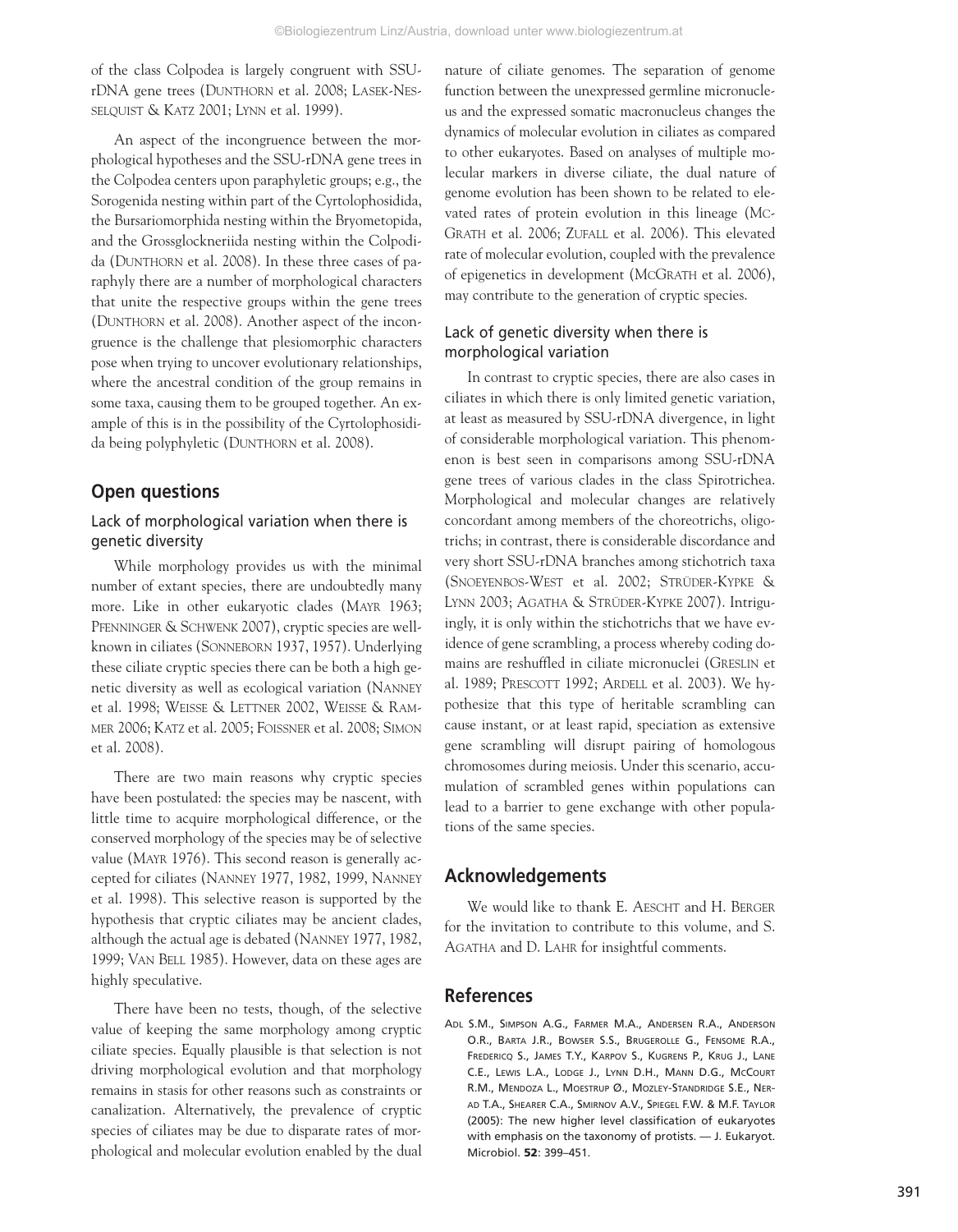of the class Colpodea is largely congruent with SSUrDNA gene trees (DUNTHORN et al. 2008; LASEK-NES-SELQUIST & KATZ 2001; LYNN et al. 1999).

An aspect of the incongruence between the morphological hypotheses and the SSU-rDNA gene trees in the Colpodea centers upon paraphyletic groups; e.g., the Sorogenida nesting within part of the Cyrtolophosidida, the Bursariomorphida nesting within the Bryometopida, and the Grossglockneriida nesting within the Colpodida (DUNTHORN et al. 2008). In these three cases of paraphyly there are a number of morphological characters that unite the respective groups within the gene trees (DUNTHORN et al. 2008). Another aspect of the incongruence is the challenge that plesiomorphic characters pose when trying to uncover evolutionary relationships, where the ancestral condition of the group remains in some taxa, causing them to be grouped together. An example of this is in the possibility of the Cyrtolophosidida being polyphyletic (DUNTHORN et al. 2008).

# **Open questions**

# Lack of morphological variation when there is genetic diversity

While morphology provides us with the minimal number of extant species, there are undoubtedly many more. Like in other eukaryotic clades (MAYR 1963; PFENNINGER & SCHWENK 2007), cryptic species are wellknown in ciliates (SONNEBORN 1937, 1957). Underlying these ciliate cryptic species there can be both a high genetic diversity as well as ecological variation (NANNEY et al. 1998; WEISSE & LETTNER 2002, WEISSE & RAM-MER 2006; KATZ et al. 2005; FOISSNER et al. 2008; SIMON et al. 2008).

There are two main reasons why cryptic species have been postulated: the species may be nascent, with little time to acquire morphological difference, or the conserved morphology of the species may be of selective value (MAYR 1976). This second reason is generally accepted for ciliates (NANNEY 1977, 1982, 1999, NANNEY et al. 1998). This selective reason is supported by the hypothesis that cryptic ciliates may be ancient clades, although the actual age is debated (NANNEY 1977, 1982, 1999; VAN BELL 1985). However, data on these ages are highly speculative.

There have been no tests, though, of the selective value of keeping the same morphology among cryptic ciliate species. Equally plausible is that selection is not driving morphological evolution and that morphology remains in stasis for other reasons such as constraints or canalization. Alternatively, the prevalence of cryptic species of ciliates may be due to disparate rates of morphological and molecular evolution enabled by the dual nature of ciliate genomes. The separation of genome function between the unexpressed germline micronucleus and the expressed somatic macronucleus changes the dynamics of molecular evolution in ciliates as compared to other eukaryotes. Based on analyses of multiple molecular markers in diverse ciliate, the dual nature of genome evolution has been shown to be related to elevated rates of protein evolution in this lineage (MC-GRATH et al. 2006; ZUFALL et al. 2006). This elevated rate of molecular evolution, coupled with the prevalence of epigenetics in development (MCGRATH et al. 2006), may contribute to the generation of cryptic species.

# Lack of genetic diversity when there is morphological variation

In contrast to cryptic species, there are also cases in ciliates in which there is only limited genetic variation, at least as measured by SSU-rDNA divergence, in light of considerable morphological variation. This phenomenon is best seen in comparisons among SSU-rDNA gene trees of various clades in the class Spirotrichea. Morphological and molecular changes are relatively concordant among members of the choreotrichs, oligotrichs; in contrast, there is considerable discordance and very short SSU-rDNA branches among stichotrich taxa (SNOEYENBOS-WEST et al. 2002; STRÜDER-KYPKE & LYNN 2003; AGATHA & STRÜDER-KYPKE 2007). Intriguingly, it is only within the stichotrichs that we have evidence of gene scrambling, a process whereby coding domains are reshuffled in ciliate micronuclei (GRESLIN et al. 1989; PRESCOTT 1992; ARDELL et al. 2003). We hypothesize that this type of heritable scrambling can cause instant, or at least rapid, speciation as extensive gene scrambling will disrupt pairing of homologous chromosomes during meiosis. Under this scenario, accumulation of scrambled genes within populations can lead to a barrier to gene exchange with other populations of the same species.

# **Acknowledgements**

We would like to thank E. AESCHT and H. BERGER for the invitation to contribute to this volume, and S. AGATHA and D. LAHR for insightful comments.

# **References**

ADL S.M., SIMPSON A.G., FARMER M.A., ANDERSEN R.A., ANDERSON O.R., BARTA J.R., BOWSER S.S., BRUGEROLLE G., FENSOME R.A., FREDERICQ S., JAMES T.Y., KARPOV S., KUGRENS P., KRUG J., LANE C.E., LEWIS L.A., LODGE J., LYNN D.H., MANN D.G., MCCOURT R.M., MENDOZA L., MOESTRUP Ø., MOZLEY-STANDRIDGE S.E., NER-AD T.A., SHEARER C.A., SMIRNOV A.V., SPIEGEL F.W. & M.F. TAYLOR (2005): The new higher level classification of eukaryotes with emphasis on the taxonomy of protists. — J. Eukaryot. Microbiol. **52**: 399–451.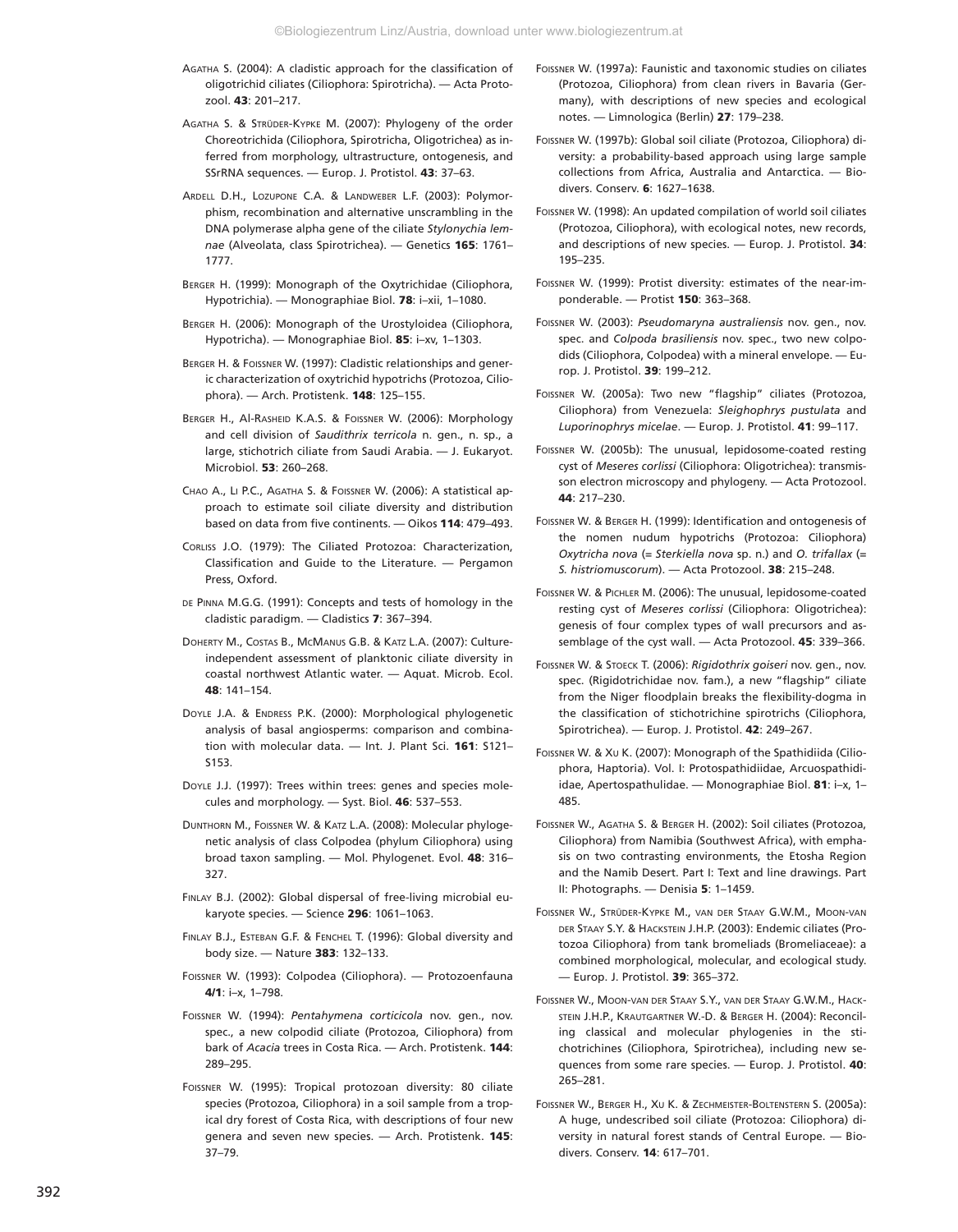- AGATHA S. (2004): A cladistic approach for the classification of oligotrichid ciliates (Ciliophora: Spirotricha). — Acta Protozool. **43**: 201–217.
- AGATHA S. & STRÜDER-KYPKE M. (2007): Phylogeny of the order Choreotrichida (Ciliophora, Spirotricha, Oligotrichea) as inferred from morphology, ultrastructure, ontogenesis, and SSrRNA sequences. — Europ. J. Protistol. **43**: 37–63.
- ARDELL D.H., LOZUPONE C.A. & LANDWEBER L.F. (2003): Polymorphism, recombination and alternative unscrambling in the DNA polymerase alpha gene of the ciliate *Stylonychia lemnae* (Alveolata, class Spirotrichea). — Genetics **165**: 1761– 1777.
- BERGER H. (1999): Monograph of the Oxytrichidae (Ciliophora, Hypotrichia). — Monographiae Biol. **78**: i–xii, 1–1080.
- BERGER H. (2006): Monograph of the Urostyloidea (Ciliophora, Hypotricha). — Monographiae Biol. **85**: i–xv, 1–1303.
- BERGER H. & FOISSNER W. (1997): Cladistic relationships and generic characterization of oxytrichid hypotrichs (Protozoa, Ciliophora). — Arch. Protistenk. **148**: 125–155.
- BERGER H., Al-RASHEID K.A.S. & FOISSNER W. (2006): Morphology and cell division of *Saudithrix terricola* n. gen., n. sp., a large, stichotrich ciliate from Saudi Arabia. — J. Eukaryot. Microbiol. **53**: 260–268.
- CHAO A., LI P.C., AGATHA S. & FOISSNER W. (2006): A statistical approach to estimate soil ciliate diversity and distribution based on data from five continents. — Oikos **114**: 479–493.
- CORLISS J.O. (1979): The Ciliated Protozoa: Characterization, Classification and Guide to the Literature. — Pergamon Press, Oxford.
- DE PINNA M.G.G. (1991): Concepts and tests of homology in the cladistic paradigm. — Cladistics **7**: 367–394.
- DOHERTY M., COSTAS B., MCMANUS G.B. & KATZ L.A. (2007): Cultureindependent assessment of planktonic ciliate diversity in coastal northwest Atlantic water. — Aquat. Microb. Ecol. **48**: 141–154.
- DOYLE J.A. & ENDRESS P.K. (2000): Morphological phylogenetic analysis of basal angiosperms: comparison and combination with molecular data. — Int. J. Plant Sci. **161**: S121– S153.
- DOYLE J.J. (1997): Trees within trees: genes and species molecules and morphology. — Syst. Biol. **46**: 537–553.
- DUNTHORN M., FOISSNER W. & KATZ L.A. (2008): Molecular phylogenetic analysis of class Colpodea (phylum Ciliophora) using broad taxon sampling. — Mol. Phylogenet. Evol. **48**: 316– 327.
- FINLAY B.J. (2002): Global dispersal of free-living microbial eukaryote species. — Science **296**: 1061–1063.
- FINLAY B.J., ESTEBAN G.F. & FENCHEL T. (1996): Global diversity and body size. — Nature **383**: 132–133.
- FOISSNER W. (1993): Colpodea (Ciliophora). Protozoenfauna **4/1**: i–x, 1–798.
- FOISSNER W. (1994): *Pentahymena corticicola* nov. gen., nov. spec., a new colpodid ciliate (Protozoa, Ciliophora) from bark of *Acacia* trees in Costa Rica. — Arch. Protistenk. **144**: 289–295.
- FOISSNER W. (1995): Tropical protozoan diversity: 80 ciliate species (Protozoa, Ciliophora) in a soil sample from a tropical dry forest of Costa Rica, with descriptions of four new genera and seven new species. — Arch. Protistenk. **145**: 37–79.
- FOISSNER W. (1997a): Faunistic and taxonomic studies on ciliates (Protozoa, Ciliophora) from clean rivers in Bavaria (Germany), with descriptions of new species and ecological notes. — Limnologica (Berlin) **27**: 179–238.
- FOISSNER W. (1997b): Global soil ciliate (Protozoa, Ciliophora) diversity: a probability-based approach using large sample collections from Africa, Australia and Antarctica. — Biodivers. Conserv. **6**: 1627–1638.
- FOISSNER W. (1998): An updated compilation of world soil ciliates (Protozoa, Ciliophora), with ecological notes, new records, and descriptions of new species. — Europ. J. Protistol. **34**: 195–235.
- FOISSNER W. (1999): Protist diversity: estimates of the near-imponderable. — Protist **150**: 363–368.
- FOISSNER W. (2003): *Pseudomaryna australiensis* nov. gen., nov. spec. and *Colpoda brasiliensis* nov. spec., two new colpodids (Ciliophora, Colpodea) with a mineral envelope. — Europ. J. Protistol. **39**: 199–212.
- FOISSNER W. (2005a): Two new "flagship" ciliates (Protozoa, Ciliophora) from Venezuela: *Sleighophrys pustulata* and *Luporinophrys micelae*. — Europ. J. Protistol. **41**: 99–117.
- FOISSNER W. (2005b): The unusual, lepidosome-coated resting cyst of *Meseres corlissi* (Ciliophora: Oligotrichea): transmisson electron microscopy and phylogeny. — Acta Protozool. **44**: 217–230.
- FOISSNER W. & BERGER H. (1999): Identification and ontogenesis of the nomen nudum hypotrichs (Protozoa: Ciliophora) *Oxytricha nova* (= *Sterkiella nova* sp. n.) and *O. trifallax* (= *S. histriomuscorum*). — Acta Protozool. **38**: 215–248.
- FOISSNER W. & PICHLER M. (2006): The unusual, lepidosome-coated resting cyst of *Meseres corlissi* (Ciliophora: Oligotrichea): genesis of four complex types of wall precursors and assemblage of the cyst wall. — Acta Protozool. **45**: 339–366.
- FOISSNER W. & STOECK T. (2006): *Rigidothrix goiseri* nov. gen., nov. spec. (Rigidotrichidae nov. fam.), a new "flagship" ciliate from the Niger floodplain breaks the flexibility-dogma in the classification of stichotrichine spirotrichs (Ciliophora, Spirotrichea). — Europ. J. Protistol. **42**: 249–267.
- FOISSNER W. & XU K. (2007): Monograph of the Spathidiida (Ciliophora, Haptoria). Vol. I: Protospathidiidae, Arcuospathidiidae, Apertospathulidae. — Monographiae Biol. **81**: i–x, 1– 485.
- FOISSNER W., AGATHA S. & BERGER H. (2002): Soil ciliates (Protozoa, Ciliophora) from Namibia (Southwest Africa), with emphasis on two contrasting environments, the Etosha Region and the Namib Desert. Part I: Text and line drawings. Part II: Photographs. — Denisia **5**: 1–1459.
- FOISSNER W., STRÜDER-KYPKE M., VAN DER STAAY G.W.M., MOON-VAN DER STAAY S.Y. & HACKSTEIN J.H.P. (2003): Endemic ciliates (Protozoa Ciliophora) from tank bromeliads (Bromeliaceae): a combined morphological, molecular, and ecological study. — Europ. J. Protistol. **39**: 365–372.
- FOISSNER W., MOON-VAN DER STAAY S.Y., VAN DER STAAY G.W.M., HACK-STEIN J.H.P., KRAUTGARTNER W.-D. & BERGER H. (2004): Reconciling classical and molecular phylogenies in the stichotrichines (Ciliophora, Spirotrichea), including new sequences from some rare species. — Europ. J. Protistol. **40**: 265–281.
- FOISSNER W., BERGER H., XU K. & ZECHMEISTER-BOLTENSTERN S. (2005a): A huge, undescribed soil ciliate (Protozoa: Ciliophora) diversity in natural forest stands of Central Europe. — Biodivers. Conserv. **14**: 617–701.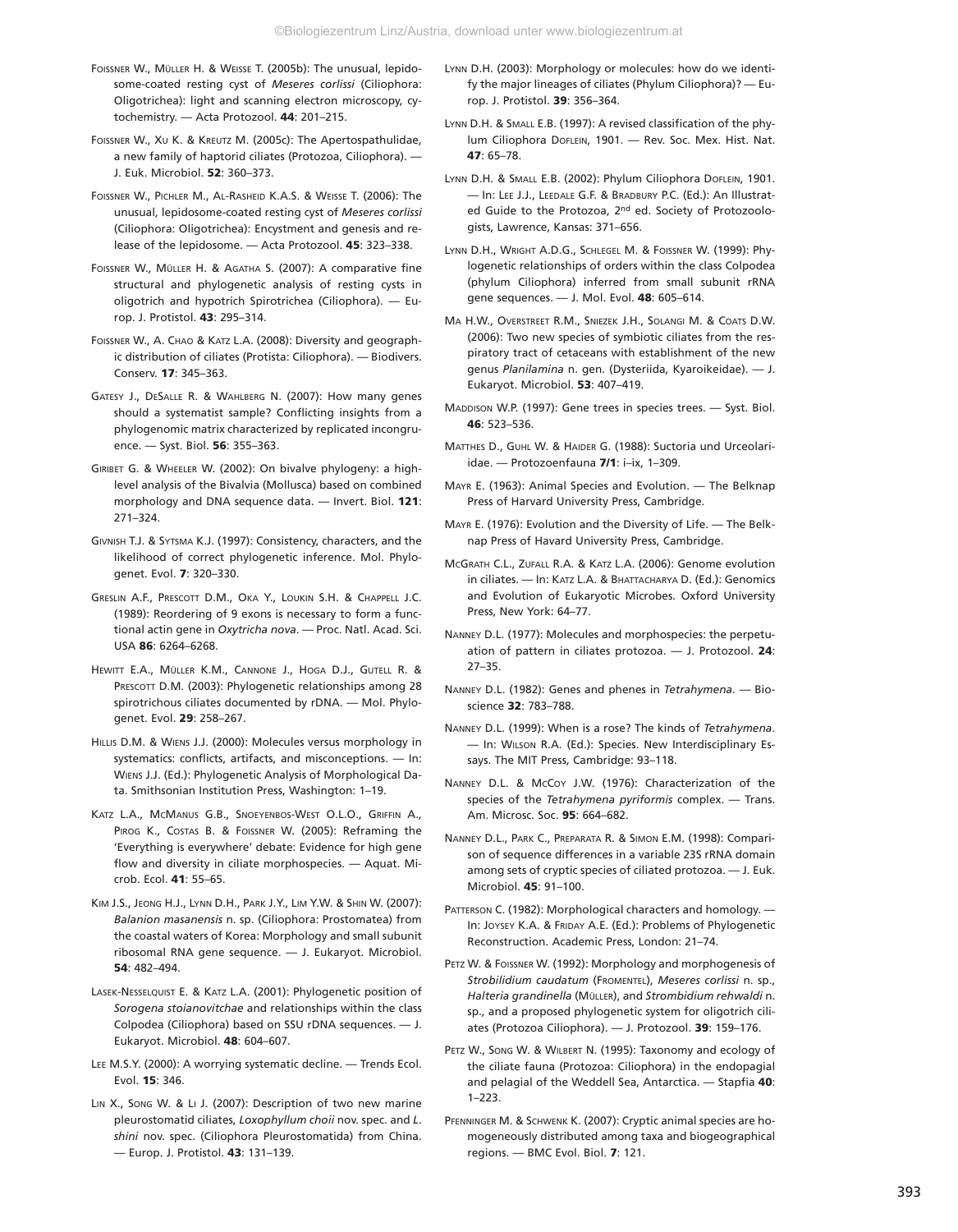- FOISSNER W., MÜLLER H. & WEISSE T. (2005b): The unusual, lepidosome-coated resting cyst of *Meseres corlissi* (Ciliophora: Oligotrichea): light and scanning electron microscopy, cytochemistry. — Acta Protozool. **44**: 201–215.
- FOISSNER W., XU K. & KREUTZ M. (2005c): The Apertospathulidae, a new family of haptorid ciliates (Protozoa, Ciliophora). — J. Euk. Microbiol. **52**: 360–373.
- FOISSNER W., PICHLER M., AL-RASHEID K.A.S. & WEISSE T. (2006): The unusual, lepidosome-coated resting cyst of *Meseres corlissi* (Ciliophora: Oligotrichea): Encystment and genesis and release of the lepidosome. — Acta Protozool. **45**: 323–338.
- FOISSNER W., MÜLLER H. & AGATHA S. (2007): A comparative fine structural and phylogenetic analysis of resting cysts in oligotrich and hypotrich Spirotrichea (Ciliophora). — Europ. J. Protistol. **43**: 295–314.
- FOISSNER W., A. CHAO & KATZ L.A. (2008): Diversity and geographic distribution of ciliates (Protista: Ciliophora). — Biodivers. Conserv. **17**: 345–363.
- GATESY J., DESALLE R. & WAHLBERG N. (2007): How many genes should a systematist sample? Conflicting insights from a phylogenomic matrix characterized by replicated incongruence. — Syst. Biol. **56**: 355–363.
- GIRIBET G. & WHEELER W. (2002): On bivalve phylogeny: a highlevel analysis of the Bivalvia (Mollusca) based on combined morphology and DNA sequence data. — Invert. Biol. **121**: 271–324.
- GIVNISH T.J. & SYTSMA K.J. (1997): Consistency, characters, and the likelihood of correct phylogenetic inference. Mol. Phylogenet. Evol. **7**: 320–330.
- GRESLIN A.F., PRESCOTT D.M., OKA Y., LOUKIN S.H. & CHAPPELL J.C. (1989): Reordering of 9 exons is necessary to form a functional actin gene in *Oxytricha nova*. — Proc. Natl. Acad. Sci. USA **86**: 6264–6268.
- HEWITT E.A., MÜLLER K.M., CANNONE J., HOGA D.J., GUTELL R. & PRESCOTT D.M. (2003): Phylogenetic relationships among 28 spirotrichous ciliates documented by rDNA. — Mol. Phylogenet. Evol. **29**: 258–267.
- HILLIS D.M. & WIENS J.J. (2000): Molecules versus morphology in systematics: conflicts, artifacts, and misconceptions. — In: WIENS J.J. (Ed.): Phylogenetic Analysis of Morphological Data. Smithsonian Institution Press, Washington: 1–19.
- KATZ L.A., MCMANUS G.B., SNOEYENBOS-WEST O.L.O., GRIFFIN A., PIROG K., COSTAS B. & FOISSNER W. (2005): Reframing the 'Everything is everywhere' debate: Evidence for high gene flow and diversity in ciliate morphospecies. — Aquat. Microb. Ecol. **41**: 55–65.
- KIM J.S., JEONG H.J., LYNN D.H., PARK J.Y., LIM Y.W. & SHIN W. (2007): *Balanion masanensis* n. sp. (Ciliophora: Prostomatea) from the coastal waters of Korea: Morphology and small subunit ribosomal RNA gene sequence. — J. Eukaryot. Microbiol. **54**: 482–494.
- LASEK-NESSELQUIST E. & KATZ L.A. (2001): Phylogenetic position of *Sorogena stoianovitchae* and relationships within the class Colpodea (Ciliophora) based on SSU rDNA sequences. — J. Eukaryot. Microbiol. **48**: 604–607.
- LEE M.S.Y. (2000): A worrying systematic decline. Trends Ecol. Evol. **15**: 346.
- LIN X., SONG W. & LI J. (2007): Description of two new marine pleurostomatid ciliates, *Loxophyllum choii* nov. spec. and *L*. *shini* nov. spec. (Ciliophora Pleurostomatida) from China. — Europ. J. Protistol. **43**: 131–139.
- LYNN D.H. (2003): Morphology or molecules: how do we identify the major lineages of ciliates (Phylum Ciliophora)? — Europ. J. Protistol. **39**: 356–364.
- LYNN D.H. & SMALL E.B. (1997): A revised classification of the phylum Ciliophora DOFLEIN, 1901. — Rev. Soc. Mex. Hist. Nat. **47**: 65–78.
- LYNN D.H. & SMALL E.B. (2002): Phylum Ciliophora DOFLEIN, 1901. — In: LEE J.J., LEEDALE G.F. & BRADBURY P.C. (Ed.): An Illustrated Guide to the Protozoa, 2<sup>nd</sup> ed. Society of Protozoologists, Lawrence, Kansas: 371–656.
- LYNN D.H., WRIGHT A.D.G., SCHLEGEL M. & FOISSNER W. (1999): Phylogenetic relationships of orders within the class Colpodea (phylum Ciliophora) inferred from small subunit rRNA gene sequences. — J. Mol. Evol. **48**: 605–614.
- MA H.W., OVERSTREET R.M., SNIEZEK J.H., SOLANGI M. & COATS D.W. (2006): Two new species of symbiotic ciliates from the respiratory tract of cetaceans with establishment of the new genus *Planilamina* n. gen. (Dysteriida, Kyaroikeidae). — J. Eukaryot. Microbiol. **53**: 407–419.
- MADDISON W.P. (1997): Gene trees in species trees. Syst. Biol. **46**: 523–536.
- MATTHES D., GUHL W. & HAIDER G. (1988): Suctoria und Urceolariidae. — Protozoenfauna **7/1**: i–ix, 1–309.
- MAYR E. (1963): Animal Species and Evolution. The Belknap Press of Harvard University Press, Cambridge.
- MAYR E. (1976): Evolution and the Diversity of Life. The Belknap Press of Havard University Press, Cambridge.
- MCGRATH C.L., ZUFALL R.A. & KATZ L.A. (2006): Genome evolution in ciliates. — In: KATZ L.A. & BHATTACHARYA D. (Ed.): Genomics and Evolution of Eukaryotic Microbes. Oxford University Press, New York: 64–77.
- NANNEY D.L. (1977): Molecules and morphospecies: the perpetuation of pattern in ciliates protozoa. — J. Protozool. **24**: 27–35.
- NANNEY D.L. (1982): Genes and phenes in *Tetrahymena*. Bioscience **32**: 783–788.
- NANNEY D.L. (1999): When is a rose? The kinds of *Tetrahymena*. — In: WILSON R.A. (Ed.): Species. New Interdisciplinary Essays. The MIT Press, Cambridge: 93–118.
- NANNEY D.L. & MCCOY J.W. (1976): Characterization of the species of the *Tetrahymena pyriformis* complex. — Trans. Am. Microsc. Soc. **95**: 664–682.
- NANNEY D.L., PARK C., PREPARATA R. & SIMON E.M. (1998): Comparison of sequence differences in a variable 23S rRNA domain among sets of cryptic species of ciliated protozoa. — J. Euk. Microbiol. **45**: 91–100.
- PATTERSON C. (1982): Morphological characters and homology. -In: JOYSEY K.A. & FRIDAY A.E. (Ed.): Problems of Phylogenetic Reconstruction. Academic Press, London: 21–74.
- PETZ W. & FOISSNER W. (1992): Morphology and morphogenesis of *Strobilidium caudatum* (FROMENTEL), *Meseres corlissi* n. sp., *Halteria grandinella* (MÜLLER), and *Strombidium rehwaldi* n. sp., and a proposed phylogenetic system for oligotrich ciliates (Protozoa Ciliophora). — J. Protozool. **39**: 159–176.
- PETZ W., SONG W. & WILBERT N. (1995): Taxonomy and ecology of the ciliate fauna (Protozoa: Ciliophora) in the endopagial and pelagial of the Weddell Sea, Antarctica. — Stapfia **40**:  $1 - 223$
- PFENNINGER M. & SCHWENK K. (2007): Cryptic animal species are homogeneously distributed among taxa and biogeographical regions. — BMC Evol. Biol. **7**: 121.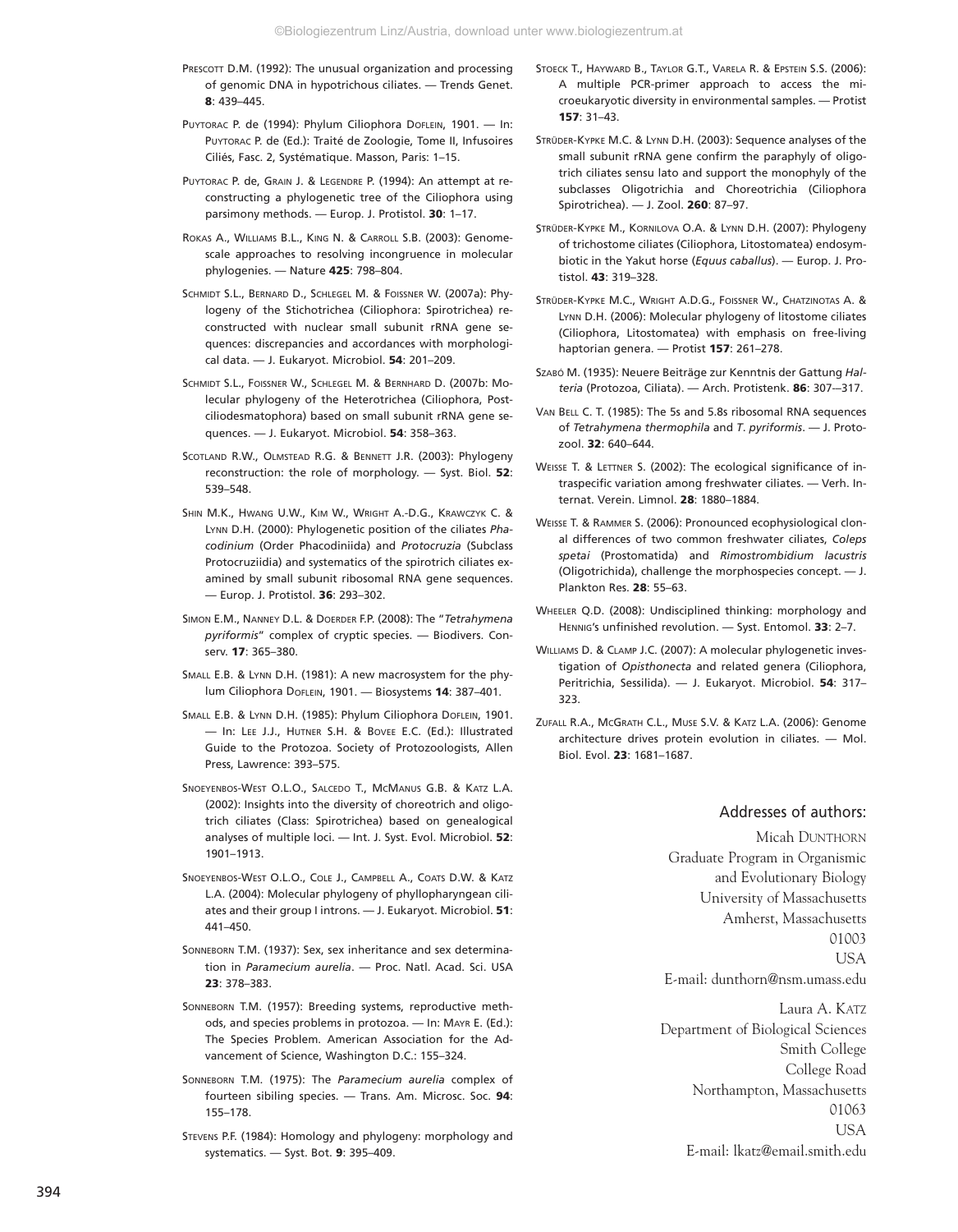- PRESCOTT D.M. (1992): The unusual organization and processing of genomic DNA in hypotrichous ciliates. — Trends Genet. **8**: 439–445.
- PUYTORAC P. de (1994): Phylum Ciliophora DOFLEIN, 1901. In: PUYTORAC P. de (Ed.): Traité de Zoologie, Tome II, Infusoires Ciliés, Fasc. 2, Systématique. Masson, Paris: 1–15.
- PUYTORAC P. de, GRAIN J. & LEGENDRE P. (1994): An attempt at reconstructing a phylogenetic tree of the Ciliophora using parsimony methods. — Europ. J. Protistol. **30**: 1–17.
- ROKAS A., WILLIAMS B.L., KING N. & CARROLL S.B. (2003): Genomescale approaches to resolving incongruence in molecular phylogenies. — Nature **425**: 798–804.
- SCHMIDT S.L., BERNARD D., SCHLEGEL M. & FOISSNER W. (2007a): Phylogeny of the Stichotrichea (Ciliophora: Spirotrichea) reconstructed with nuclear small subunit rRNA gene sequences: discrepancies and accordances with morphological data. — J. Eukaryot. Microbiol. **54**: 201–209.
- SCHMIDT S.L., FOISSNER W., SCHLEGEL M. & BERNHARD D. (2007b: Molecular phylogeny of the Heterotrichea (Ciliophora, Postciliodesmatophora) based on small subunit rRNA gene sequences. — J. Eukaryot. Microbiol. **54**: 358–363.
- SCOTLAND R.W., OLMSTEAD R.G. & BENNETT J.R. (2003): Phylogeny reconstruction: the role of morphology. — Syst. Biol. **52**: 539–548.
- SHIN M.K., HWANG U.W., KIM W., WRIGHT A.-D.G., KRAWCZYK C. & LYNN D.H. (2000): Phylogenetic position of the ciliates *Phacodinium* (Order Phacodiniida) and *Protocruzia* (Subclass Protocruziidia) and systematics of the spirotrich ciliates examined by small subunit ribosomal RNA gene sequences. — Europ. J. Protistol. **36**: 293–302.
- SIMON E.M., NANNEY D.L. & DOERDER F.P. (2008): The "*Tetrahymena pyriformis*" complex of cryptic species. — Biodivers. Conserv. **17**: 365–380.
- SMALL E.B. & LYNN D.H. (1981): A new macrosystem for the phylum Ciliophora DOFLEIN, 1901. — Biosystems **14**: 387–401.
- SMALL E.B. & LYNN D.H. (1985): Phylum Ciliophora DoFLEIN, 1901. — In: LEE J.J., HUTNER S.H. & BOVEE E.C. (Ed.): Illustrated Guide to the Protozoa. Society of Protozoologists, Allen Press, Lawrence: 393–575.
- SNOEYENBOS-WEST O.L.O., SALCEDO T., MCMANUS G.B. & KATZ L.A. (2002): Insights into the diversity of choreotrich and oligotrich ciliates (Class: Spirotrichea) based on genealogical analyses of multiple loci. — Int. J. Syst. Evol. Microbiol. **52**: 1901–1913.
- SNOEYENBOS-WEST O.L.O., COLE J., CAMPBELL A., COATS D.W. & KATZ L.A. (2004): Molecular phylogeny of phyllopharyngean ciliates and their group I introns. — J. Eukaryot. Microbiol. **51**: 441–450.
- SONNEBORN T.M. (1937): Sex, sex inheritance and sex determination in *Paramecium aurelia*. — Proc. Natl. Acad. Sci. USA **23**: 378–383.
- SONNEBORN T.M. (1957): Breeding systems, reproductive methods, and species problems in protozoa. — In: MAYR E. (Ed.): The Species Problem. American Association for the Advancement of Science, Washington D.C.: 155–324.
- SONNEBORN T.M. (1975): The *Paramecium aurelia* complex of fourteen sibiling species. — Trans. Am. Microsc. Soc. **94**: 155–178.
- STEVENS P.F. (1984): Homology and phylogeny: morphology and systematics. — Syst. Bot. **9**: 395–409.
- STOECK T., HAYWARD B., TAYLOR G.T., VARELA R. & EPSTEIN S.S. (2006): A multiple PCR-primer approach to access the microeukaryotic diversity in environmental samples. — Protist **157**: 31–43.
- STRÜDER-KYPKE M.C. & LYNN D.H. (2003): Sequence analyses of the small subunit rRNA gene confirm the paraphyly of oligotrich ciliates sensu lato and support the monophyly of the subclasses Oligotrichia and Choreotrichia (Ciliophora Spirotrichea). — J. Zool. **260**: 87–97.
- STRÜDER-KYPKE M., KORNILOVA O.A. & LYNN D.H. (2007): Phylogeny of trichostome ciliates (Ciliophora, Litostomatea) endosymbiotic in the Yakut horse (*Equus caballus*). — Europ. J. Protistol. **43**: 319–328.
- STRÜDER-KYPKE M.C., WRIGHT A.D.G., FOISSNER W., CHATZINOTAS A. & LYNN D.H. (2006): Molecular phylogeny of litostome ciliates (Ciliophora, Litostomatea) with emphasis on free-living haptorian genera. — Protist **157**: 261–278.
- SZABÓ M. (1935): Neuere Beiträge zur Kenntnis der Gattung *Halteria* (Protozoa, Ciliata). — Arch. Protistenk. **86**: 307-–317.
- VAN BELL C. T. (1985): The 5s and 5.8s ribosomal RNA sequences of *Tetrahymena thermophila* and *T*. *pyriformis*. — J. Protozool. **32**: 640–644.
- WEISSE T. & LETTNER S. (2002): The ecological significance of intraspecific variation among freshwater ciliates. — Verh. Internat. Verein. Limnol. **28**: 1880–1884.
- WEISSE T. & RAMMER S. (2006): Pronounced ecophysiological clonal differences of two common freshwater ciliates, *Coleps spetai* (Prostomatida) and *Rimostrombidium lacustris* (Oligotrichida), challenge the morphospecies concept. — J. Plankton Res. **28**: 55–63.
- WHEELER Q.D. (2008): Undisciplined thinking: morphology and HENNIG's unfinished revolution. — Syst. Entomol. **33**: 2–7.
- WILLIAMS D. & CLAMP J.C. (2007): A molecular phylogenetic investigation of *Opisthonecta* and related genera (Ciliophora, Peritrichia, Sessilida). — J. Eukaryot. Microbiol. **54**: 317– 323.
- ZUFALL R.A., MCGRATH C.L., MUSE S.V. & KATZ L.A. (2006): Genome architecture drives protein evolution in ciliates. — Mol. Biol. Evol. **23**: 1681–1687.

#### Addresses of authors:

Micah DUNTHORN Graduate Program in Organismic and Evolutionary Biology University of Massachusetts Amherst, Massachusetts 01003 USA E-mail: dunthorn@nsm.umass.edu

Laura A. KATZ Department of Biological Sciences Smith College College Road Northampton, Massachusetts 01063 USA E-mail: lkatz@email.smith.edu